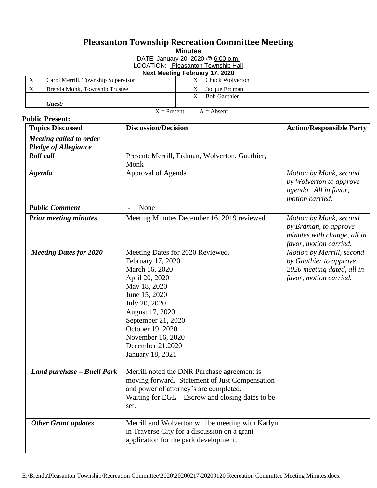## **Pleasanton Township Recreation Committee Meeting**

**Minutes**

DATE: January 20, 2020 @ 6:00 p.m.

LOCATION: Pleasanton Township Hall

## **Next Meeting February 17, 2020**

| $\mathbf{v}$                      | Carol Merrill, Township Supervisor |  |  | $\mathbf{v}$ | Chuck Wolverton     |  |  |
|-----------------------------------|------------------------------------|--|--|--------------|---------------------|--|--|
| X                                 | Brenda Monk, Township Trustee      |  |  | $\mathbf{v}$ | Jacque Erdman       |  |  |
|                                   |                                    |  |  | $\mathbf{v}$ | <b>Bob Gauthier</b> |  |  |
|                                   | Guest:                             |  |  |              |                     |  |  |
| $=$ Procont<br>$\Lambda$ – Absont |                                    |  |  |              |                     |  |  |

## **Public Present:**

 $X =$ Present  $A =$  Absent

| <b>Topics Discussed</b>       | <b>Discussion/Decision</b>                                                                                                                                                                                                                                            | <b>Action/Responsible Party</b>                                                                             |
|-------------------------------|-----------------------------------------------------------------------------------------------------------------------------------------------------------------------------------------------------------------------------------------------------------------------|-------------------------------------------------------------------------------------------------------------|
| Meeting called to order       |                                                                                                                                                                                                                                                                       |                                                                                                             |
| <b>Pledge of Allegiance</b>   |                                                                                                                                                                                                                                                                       |                                                                                                             |
| <b>Roll</b> call              | Present: Merrill, Erdman, Wolverton, Gauthier,<br>Monk                                                                                                                                                                                                                |                                                                                                             |
| <b>Agenda</b>                 | Approval of Agenda                                                                                                                                                                                                                                                    | Motion by Monk, second<br>by Wolverton to approve<br>agenda. All in favor,<br>motion carried.               |
| <b>Public Comment</b>         | None                                                                                                                                                                                                                                                                  |                                                                                                             |
| <b>Prior meeting minutes</b>  | Meeting Minutes December 16, 2019 reviewed.                                                                                                                                                                                                                           | Motion by Monk, second<br>by Erdman, to approve<br>minutes with change, all in<br>favor, motion carried.    |
| <b>Meeting Dates for 2020</b> | Meeting Dates for 2020 Reviewed.<br>February 17, 2020<br>March 16, 2020<br>April 20, 2020<br>May 18, 2020<br>June 15, 2020<br>July 20, 2020<br>August 17, 2020<br>September 21, 2020<br>October 19, 2020<br>November 16, 2020<br>December 21.2020<br>January 18, 2021 | Motion by Merrill, second<br>by Gauthier to approve<br>2020 meeting dated, all in<br>favor, motion carried. |
| Land purchase - Buell Park    | Merrill noted the DNR Purchase agreement is<br>moving forward. Statement of Just Compensation<br>and power of attorney's are completed.<br>Waiting for EGL - Escrow and closing dates to be<br>set.                                                                   |                                                                                                             |
| <b>Other Grant updates</b>    | Merrill and Wolverton will be meeting with Karlyn<br>in Traverse City for a discussion on a grant<br>application for the park development.                                                                                                                            |                                                                                                             |